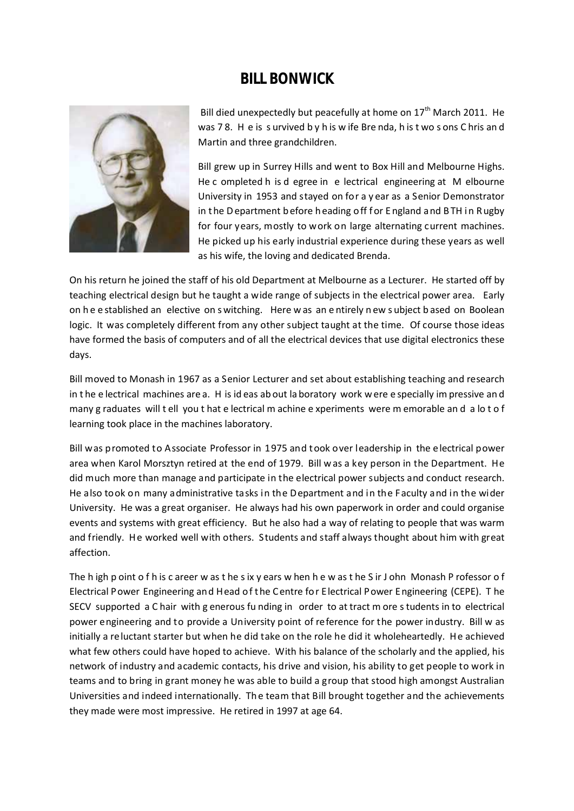## **BILL BONWICK**



Bill died unexpectedly but peacefully at home on  $17<sup>th</sup>$  March 2011. He was 7 8. H e is s urvived b y h is w ife Bre nda, h is t wo s ons C hris an d Martin and three grandchildren.

Bill grew up in Surrey Hills and went to Box Hill and Melbourne Highs. He c ompleted h is d egree in e lectrical engineering at M elbourne University in 1953 and stayed on for a y ear as a Senior Demonstrator in the Department before heading off for England and BTH in Rugby for four years, mostly to work on large alternating current machines. He picked up his early industrial experience during these years as well as his wife, the loving and dedicated Brenda.

On his return he joined the staff of his old Department at Melbourne as a Lecturer. He started off by teaching electrical design but he taught a wide range of subjects in the electrical power area. Early on h e e stablished an elective on s witching. Here w as an e ntirely n ew s ubject b ased on Boolean logic. It was completely different from any other subject taught at the time. Of course those ideas have formed the basis of computers and of all the electrical devices that use digital electronics these days.

Bill moved to Monash in 1967 as a Senior Lecturer and set about establishing teaching and research in t he e lectrical machines are a. H is id eas ab out la boratory work w ere e specially im pressive an d many g raduates will t ell you t hat e lectrical m achine e xperiments were m emorable an d a lo t o f learning took place in the machines laboratory.

Bill was promoted to Associate Professor in 1975 and took over leadership in the electrical power area when Karol Morsztyn retired at the end of 1979. Bill w as a key person in the Department. He did much more than manage and participate in the electrical power subjects and conduct research. He also took on many administrative tasks in the Department and in the Faculty and in the wider University. He was a great organiser. He always had his own paperwork in order and could organise events and systems with great efficiency. But he also had a way of relating to people that was warm and friendly. He worked well with others. Students and staff always thought about him with great affection.

The h igh p oint o f h is c areer w as t he s ix y ears w hen h e w as t he S ir J ohn Monash P rofessor o f Electrical Power Engineering and Head o f t he Centre fo r E lectrical Power E ngineering (CEPE). T he SECV supported a C hair with g enerous fu nding in order to at tract m ore s tudents in to electrical power engineering and to provide a University point of reference for the power industry. Bill w as initially a re luctant starter but when he did take on the role he did it wholeheartedly. He achieved what few others could have hoped to achieve. With his balance of the scholarly and the applied, his network of industry and academic contacts, his drive and vision, his ability to get people to work in teams and to bring in grant money he was able to build a group that stood high amongst Australian Universities and indeed internationally. The team that Bill brought together and the achievements they made were most impressive. He retired in 1997 at age 64.